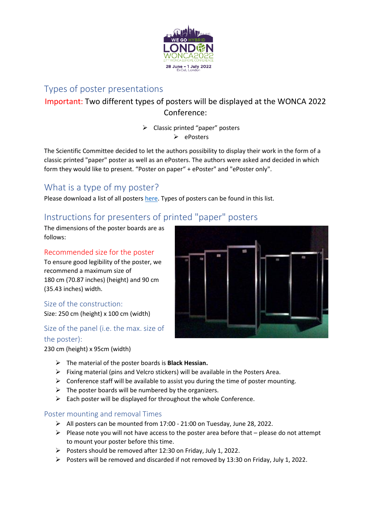

### Types of poster presentations

## Important: Two different types of posters will be displayed at the WONCA 2022 Conference:

# $\triangleright$  Classic printed "paper" posters

 $\triangleright$  ePosters

The Scientific Committee decided to let the authors possibility to display their work in the form of a classic printed "paper" poster as well as an ePosters. The authors were asked and decided in which form they would like to present. "Poster on paper" + ePoster" and "ePoster only".

# What is a type of my poster?

Please download a list of all poster[s here.](https://woncaeurope2022.org/en/instructions-for-presenters) Types of posters can be found in this list.

# Instructions for presenters of printed "paper" posters

The dimensions of the poster boards are as follows:

### Recommended size for the poster

To ensure good legibility of the poster, we recommend a maximum size of 180 cm (70.87 inches) (height) and 90 cm (35.43 inches) width.

### Size of the construction:

Size: 250 cm (height) x 100 cm (width)

### Size of the panel (i.e. the max. size of the poster):





- The material of the poster boards is **Black Hessian.**
- $\triangleright$  Fixing material (pins and Velcro stickers) will be available in the Posters Area.
- $\triangleright$  Conference staff will be available to assist you during the time of poster mounting.
- $\triangleright$  The poster boards will be numbered by the organizers.
- $\triangleright$  Each poster will be displayed for throughout the whole Conference.

### Poster mounting and removal Times

- $\triangleright$  All posters can be mounted from 17:00 21:00 on Tuesday, June 28, 2022.
- $\triangleright$  Please note you will not have access to the poster area before that please do not attempt to mount your poster before this time.
- Posters should be removed after 12:30 on Friday, July 1, 2022.
- Posters will be removed and discarded if not removed by 13:30 on Friday, July 1, 2022.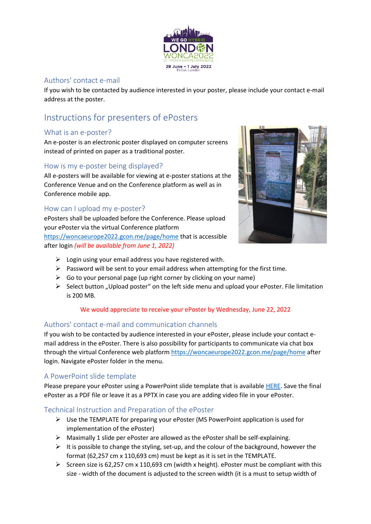

### Authors' contact e-mail

If you wish to be contacted by audience interested in your poster, please include your contact e-mail address at the poster.

# Instructions for presenters of ePosters

### What is an e-poster?

An e-poster is an electronic poster displayed on computer screens instead of printed on paper as a traditional poster.

#### How is my e-poster being displayed?

All e-posters will be available for viewing at e-poster stations at the Conference Venue and on the Conference platform as well as in Conference mobile app.

### How can I upload my e-poster?

ePosters shall be uploaded before the Conference. Please upload your ePoster via the virtual Conference platform <https://woncaeurope2022.gcon.me/page/home> that is accessible after login *(will be available from June 1, 2022)*



- $\triangleright$  Login using your email address you have registered with.
- $\triangleright$  Password will be sent to your email address when attempting for the first time.
- $\triangleright$  Go to your personal page (up right corner by clicking on your name)
- $\triangleright$  Select button "Upload poster" on the left side menu and upload your ePoster. File limitation is 200 MB.

#### We would appreciate to receive your ePoster by Wednesday, June 22, 2022

### Authors' contact e-mail and communication channels

If you wish to be contacted by audience interested in your ePoster, please include your contact email address in the ePoster. There is also possibility for participants to communicate via chat box through the virtual Conference web platform<https://woncaeurope2022.gcon.me/page/home> after login. Navigate ePoster folder in the menu.

#### A PowerPoint slide template

Please prepare your ePoster using a PowerPoint slide template that is availabl[e HERE.](https://woncaeurope2022.org/?page=id,templates&lang=en) Save the final ePoster as a PDF file or leave it as a PPTX in case you are adding video file in your ePoster.

#### Technical Instruction and Preparation of the ePoster

- Use the TEMPLATE for preparing your ePoster (MS PowerPoint application is used for implementation of the ePoster)
- $\triangleright$  Maximally 1 slide per ePoster are allowed as the ePoster shall be self-explaining.
- $\triangleright$  It is possible to change the styling, set-up, and the colour of the background, however the format (62,257 cm x 110,693 cm) must be kept as it is set in the TEMPLATE.
- Screen size is 62,257 cm x 110,693 cm (width x height). ePoster must be compliant with this size - width of the document is adjusted to the screen width (it is a must to setup width of